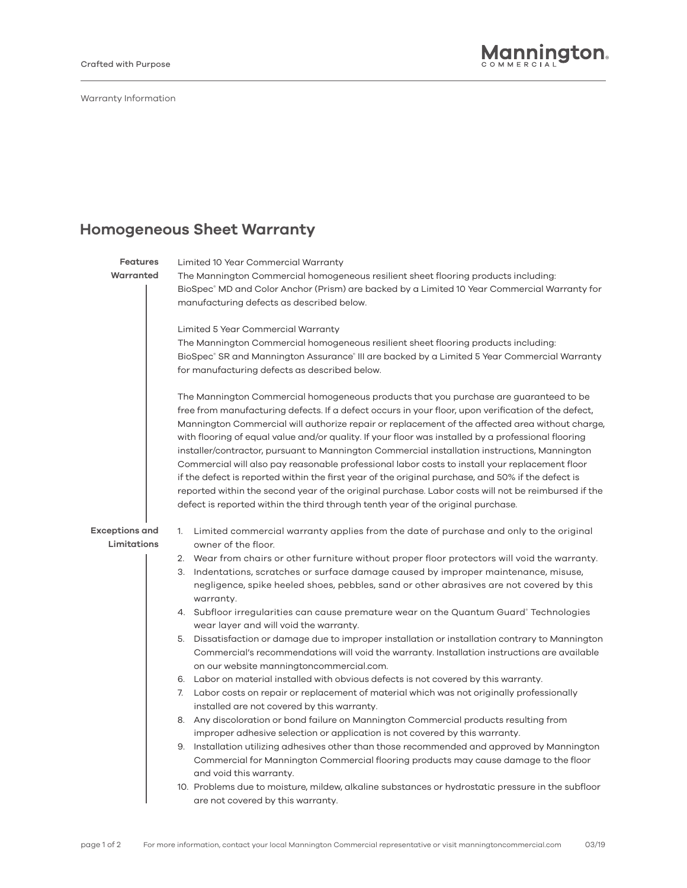Warranty Information

## **Homogeneous Sheet Warranty**

| <b>Features</b>       | Limited 10 Year Commercial Warranty                                                                                          |
|-----------------------|------------------------------------------------------------------------------------------------------------------------------|
| Warranted             | The Mannington Commercial homogeneous resilient sheet flooring products including:                                           |
|                       | BioSpec® MD and Color Anchor (Prism) are backed by a Limited 10 Year Commercial Warranty for                                 |
|                       | manufacturing defects as described below.                                                                                    |
|                       |                                                                                                                              |
|                       | Limited 5 Year Commercial Warranty                                                                                           |
|                       | The Mannington Commercial homogeneous resilient sheet flooring products including:                                           |
|                       | BioSpec® SR and Mannington Assurance® III are backed by a Limited 5 Year Commercial Warranty                                 |
|                       | for manufacturing defects as described below.                                                                                |
|                       | The Mannington Commercial homogeneous products that you purchase are guaranteed to be                                        |
|                       | free from manufacturing defects. If a defect occurs in your floor, upon verification of the defect,                          |
|                       | Mannington Commercial will authorize repair or replacement of the affected area without charge,                              |
|                       | with flooring of equal value and/or quality. If your floor was installed by a professional flooring                          |
|                       | installer/contractor, pursuant to Mannington Commercial installation instructions, Mannington                                |
|                       | Commercial will also pay reasonable professional labor costs to install your replacement floor                               |
|                       | if the defect is reported within the first year of the original purchase, and 50% if the defect is                           |
|                       | reported within the second year of the original purchase. Labor costs will not be reimbursed if the                          |
|                       | defect is reported within the third through tenth year of the original purchase.                                             |
| <b>Exceptions and</b> | 1. Limited commercial warranty applies from the date of purchase and only to the original                                    |
| Limitations           | owner of the floor.                                                                                                          |
|                       | 2. Wear from chairs or other furniture without proper floor protectors will void the warranty.                               |
|                       | 3. Indentations, scratches or surface damage caused by improper maintenance, misuse,                                         |
|                       | negligence, spike heeled shoes, pebbles, sand or other abrasives are not covered by this                                     |
|                       | warranty.                                                                                                                    |
|                       | 4. Subfloor irregularities can cause premature wear on the Quantum Guard® Technologies                                       |
|                       | wear layer and will void the warranty.                                                                                       |
|                       | 5. Dissatisfaction or damage due to improper installation or installation contrary to Mannington                             |
|                       | Commercial's recommendations will void the warranty. Installation instructions are available                                 |
|                       | on our website manningtoncommercial.com.                                                                                     |
|                       | 6. Labor on material installed with obvious defects is not covered by this warranty.                                         |
|                       | 7. Labor costs on repair or replacement of material which was not originally professionally                                  |
|                       | installed are not covered by this warranty.                                                                                  |
|                       | 8. Any discoloration or bond failure on Mannington Commercial products resulting from                                        |
|                       | improper adhesive selection or application is not covered by this warranty.                                                  |
|                       | 9. Installation utilizing adhesives other than those recommended and approved by Mannington                                  |
|                       | Commercial for Mannington Commercial flooring products may cause damage to the floor                                         |
|                       | and void this warranty.<br>10. Problems due to moisture, mildew, alkaline substances or hydrostatic pressure in the subfloor |
|                       | are not covered by this warranty.                                                                                            |
|                       |                                                                                                                              |